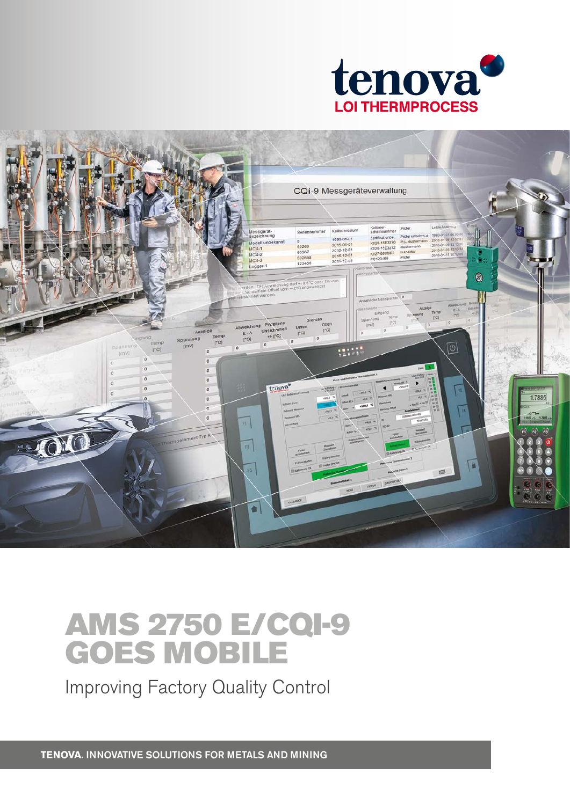



## AMS 2750 E/CQI-9 GOES MOBILE

Improving Factory Quality Control

**TENOVA.** INNOVATIVE SOLUTIONS FOR METALS AND MINING